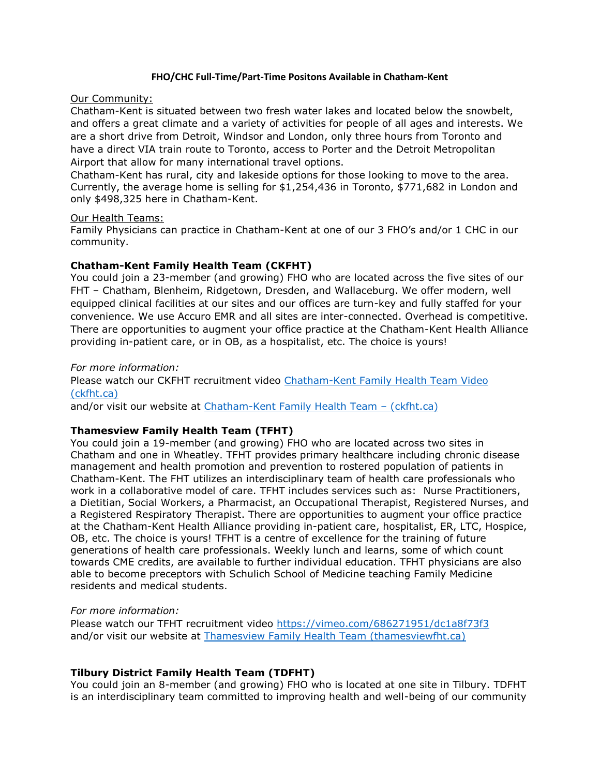#### **FHO/CHC Full-Time/Part-Time Positons Available in Chatham-Kent**

#### Our Community:

Chatham-Kent is situated between two fresh water lakes and located below the snowbelt, and offers a great climate and a variety of activities for people of all ages and interests. We are a short drive from Detroit, Windsor and London, only three hours from Toronto and have a direct VIA train route to Toronto, access to Porter and the Detroit Metropolitan Airport that allow for many international travel options.

Chatham-Kent has rural, city and lakeside options for those looking to move to the area. Currently, the average home is selling for \$1,254,436 in Toronto, \$771,682 in London and only \$498,325 here in Chatham-Kent.

#### Our Health Teams:

Family Physicians can practice in Chatham-Kent at one of our 3 FHO's and/or 1 CHC in our community.

## **Chatham-Kent Family Health Team (CKFHT)**

You could join a 23-member (and growing) FHO who are located across the five sites of our FHT – Chatham, Blenheim, Ridgetown, Dresden, and Wallaceburg. We offer modern, well equipped clinical facilities at our sites and our offices are turn-key and fully staffed for your convenience. We use Accuro EMR and all sites are inter-connected. Overhead is competitive. There are opportunities to augment your office practice at the Chatham-Kent Health Alliance providing in-patient care, or in OB, as a hospitalist, etc. The choice is yours!

## *For more information:*

Please watch our CKFHT recruitment video [Chatham-Kent Family Health Team Video](http://ckfht.ca/chatham-kent-family-health-team-video/)  [\(ckfht.ca\)](http://ckfht.ca/chatham-kent-family-health-team-video/)

and/or visit our website at [Chatham-Kent Family Health Team](http://ckfht.ca/) – (ckfht.ca)

## **Thamesview Family Health Team (TFHT)**

You could join a 19-member (and growing) FHO who are located across two sites in Chatham and one in Wheatley. TFHT provides primary healthcare including chronic disease management and health promotion and prevention to rostered population of patients in Chatham-Kent. The FHT utilizes an interdisciplinary team of health care professionals who work in a collaborative model of care. TFHT includes services such as: Nurse Practitioners, a Dietitian, Social Workers, a Pharmacist, an Occupational Therapist, Registered Nurses, and a Registered Respiratory Therapist. There are opportunities to augment your office practice at the Chatham-Kent Health Alliance providing in-patient care, hospitalist, ER, LTC, Hospice, OB, etc. The choice is yours! TFHT is a centre of excellence for the training of future generations of health care professionals. Weekly lunch and learns, some of which count towards CME credits, are available to further individual education. TFHT physicians are also able to become preceptors with Schulich School of Medicine teaching Family Medicine residents and medical students.

## *For more information:*

Please watch our TFHT recruitment video<https://vimeo.com/686271951/dc1a8f73f3> and/or visit our website at [Thamesview Family Health Team \(thamesviewfht.ca\)](https://thamesviewfht.ca/)

# **Tilbury District Family Health Team (TDFHT)**

You could join an 8-member (and growing) FHO who is located at one site in Tilbury. TDFHT is an interdisciplinary team committed to improving health and well-being of our community